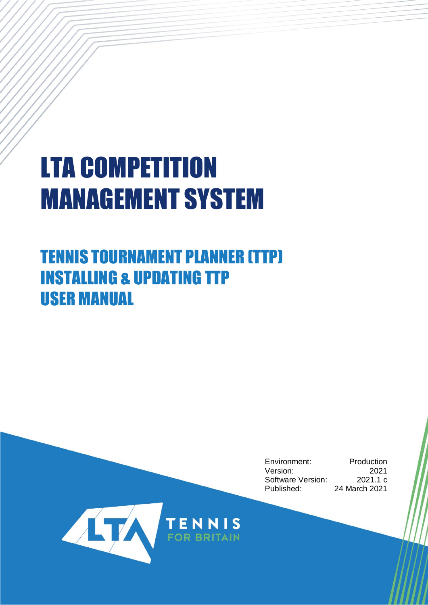# LTA COMPETITION MANAGEMENT SYSTEM

# TENNIS TOURNAMENT PLANNER (TTP) INSTALLING & UPDATING TTP USER MANUAL

Environment: Production Version: 2021 Software Version: 2021.1 c Published: 24 March 2021

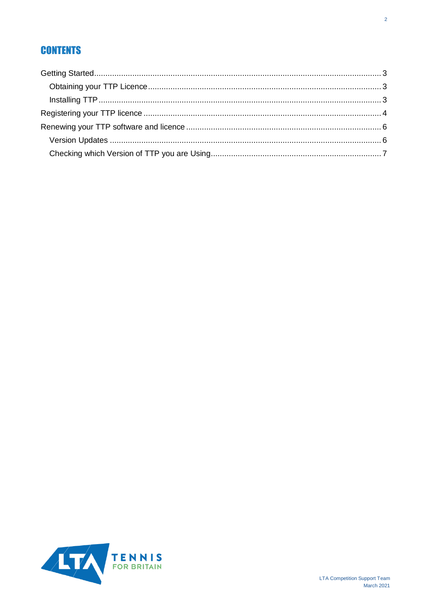# **CONTENTS**

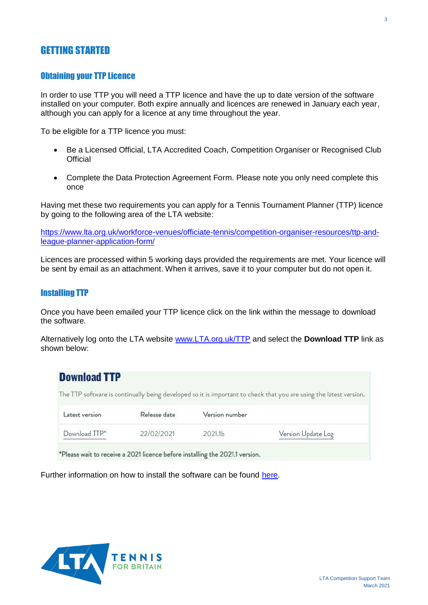# <span id="page-2-0"></span>GETTING STARTED

#### <span id="page-2-1"></span>Obtaining your TTP Licence

In order to use TTP you will need a TTP licence and have the up to date version of the software installed on your computer. Both expire annually and licences are renewed in January each year, although you can apply for a licence at any time throughout the year.

To be eligible for a TTP licence you must:

- Be a Licensed Official, LTA Accredited Coach, Competition Organiser or Recognised Club **Official**
- Complete the Data Protection Agreement Form. Please note you only need complete this once

Having met these two requirements you can apply for a Tennis Tournament Planner (TTP) licence by going to the following area of the LTA website:

[https://www.lta.org.uk/workforce-venues/officiate-tennis/competition-organiser-resources/ttp-and](https://www.lta.org.uk/workforce-venues/officiate-tennis/competition-organiser-resources/ttp-and-league-planner-application-form/)[league-planner-application-form/](https://www.lta.org.uk/workforce-venues/officiate-tennis/competition-organiser-resources/ttp-and-league-planner-application-form/)

Licences are processed within 5 working days provided the requirements are met. Your licence will be sent by email as an attachment. When it arrives, save it to your computer but do not open it.

#### <span id="page-2-2"></span>Installing TTP

Once you have been emailed your TTP licence click on the link within the message to download the software.

Alternatively log onto the LTA website [www.LTA.org.uk/TTP](http://www.lta.org.uk/ttp) and select the **Download TTP** link as shown below:

| <b>Download TTP</b> |              |                     |                                                                                                                    |
|---------------------|--------------|---------------------|--------------------------------------------------------------------------------------------------------------------|
|                     |              |                     | The TTP software is continually being developed so it is important to check that you are using the latest version. |
| Latest version      | Release date | Version number      |                                                                                                                    |
| Download TTP*       | 22/02/2021   | 2021.1 <sub>b</sub> | Version Update Log                                                                                                 |

\*Please wait to receive a 2021 licence before installing the 2021.1 version.

Further information on how to install the software can be found [here.](https://www.lta.org.uk/globalassets/officiate--volunteer/documents/ttp/ttpandlp_installation-guidance.pdf)

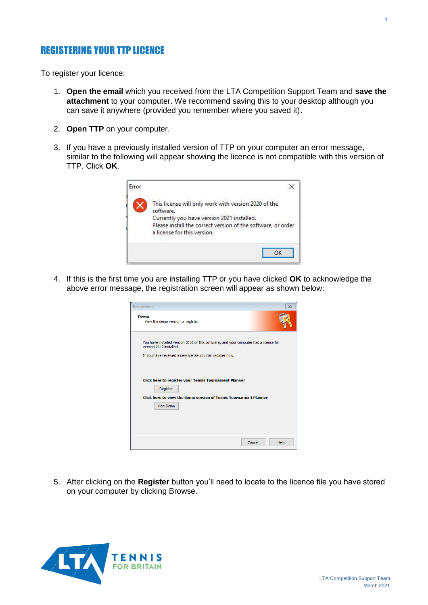## <span id="page-3-0"></span>REGISTERING YOUR TTP LICENCE

To register your licence:

- 1. **Open the email** which you received from the LTA Competition Support Team and **save the attachment** to your computer. We recommend saving this to your desktop although you can save it anywhere (provided you remember where you saved it).
- 2. **Open TTP** on your computer.
- 3. If you have a previously installed version of TTP on your computer an error message, similar to the following will appear showing the licence is not compatible with this version of TTP. Click **OK**.



4. If this is the first time you are installing TTP or you have clicked **OK** to acknowledge the above error message, the registration screen will appear as shown below:

| $\Sigma$<br>Registration                                                                                         |
|------------------------------------------------------------------------------------------------------------------|
| Demo<br>View the demo version or register.                                                                       |
| You have installed version 2016 of this software, and your computer has a license for<br>version 2012 installed. |
| If you have received a new license you can register now.                                                         |
|                                                                                                                  |
| Click here to register your Tennis Tournament Planner                                                            |
| Register                                                                                                         |
| Click here to view the demo version of Tennis Tournament Planner                                                 |
| <b>View Demo</b>                                                                                                 |
|                                                                                                                  |
|                                                                                                                  |
|                                                                                                                  |
| Cancel<br>Help                                                                                                   |

5. After clicking on the **Register** button you'll need to locate to the licence file you have stored on your computer by clicking Browse.

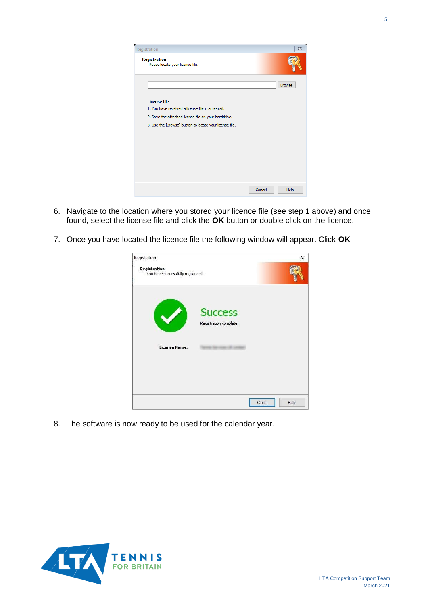

- 6. Navigate to the location where you stored your licence file (see step 1 above) and once found, select the license file and click the **OK** button or double click on the licence.
- 7. Once you have located the licence file the following window will appear. Click **OK**

| Registration                                      |                                          |       | ×    |
|---------------------------------------------------|------------------------------------------|-------|------|
| Registration<br>You have successfully registered. |                                          |       |      |
|                                                   |                                          |       |      |
|                                                   | <b>Success</b><br>Registration complete. |       |      |
| <b>License Name:</b>                              |                                          |       |      |
|                                                   |                                          |       |      |
|                                                   |                                          |       |      |
|                                                   |                                          | Close | Help |

8. The software is now ready to be used for the calendar year.

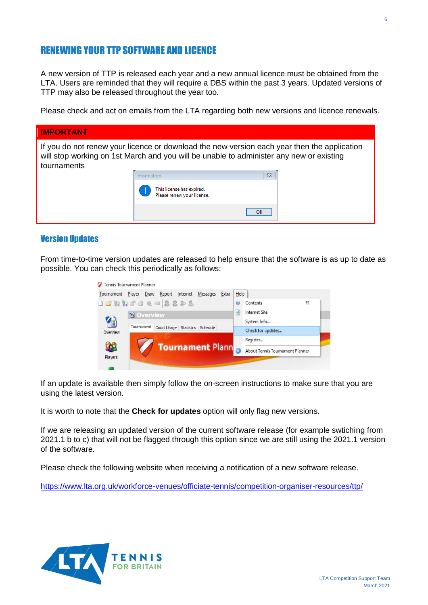# <span id="page-5-0"></span>RENEWING YOUR TTP SOFTWARE AND LICENCE

A new version of TTP is released each year and a new annual licence must be obtained from the LTA. Users are reminded that they will require a DBS within the past 3 years. Updated versions of TTP may also be released throughout the year too.

Please check and act on emails from the LTA regarding both new versions and licence renewals.

| <b>IMPORTANT</b> |             |                                                                                                                                                                                        |  |
|------------------|-------------|----------------------------------------------------------------------------------------------------------------------------------------------------------------------------------------|--|
| tournaments      |             | If you do not renew your licence or download the new version each year then the application<br>will stop working on 1st March and you will be unable to administer any new or existing |  |
|                  | Information | $\Sigma$                                                                                                                                                                               |  |
|                  |             | This license has expired.<br>Please renew your license.                                                                                                                                |  |
|                  |             | OK                                                                                                                                                                                     |  |

#### <span id="page-5-1"></span>Version Updates

From time-to-time version updates are released to help ensure that the software is as up to date as possible. You can check this periodically as follows:

| Tournament Player Draw<br>Internet<br>Report<br>Messages | Help<br>Extra                    |
|----------------------------------------------------------|----------------------------------|
| 1601444= 2202                                            | F <sub>1</sub><br>Contents<br>ø  |
| <b>C</b> Overview                                        | Internet Site<br>э               |
| 4<br>Tournament<br>Court Usage Statistics<br>Schedule    | System Info<br>Check for updates |
| Overview                                                 | Register                         |
| <b>Tournament Plann</b>                                  | About Tennis Tournament Planner  |

If an update is available then simply follow the on-screen instructions to make sure that you are using the latest version.

It is worth to note that the **Check for updates** option will only flag new versions.

If we are releasing an updated version of the current software release (for example swtiching from 2021.1 b to c) that will not be flagged through this option since we are still using the 2021.1 version of the software.

Please check the following website when receiving a notification of a new software release.

<https://www.lta.org.uk/workforce-venues/officiate-tennis/competition-organiser-resources/ttp/>